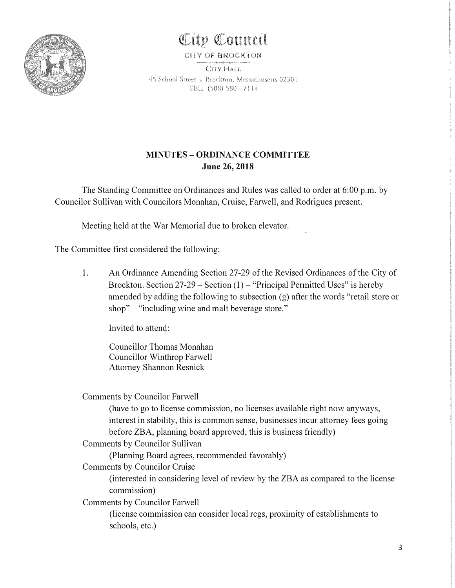

## **<!Cttp QI:ounctl**

## **CITY OF BROCK.TON**

CITY HALL 45 School Street <sub>\*</sub> Brockton, Massachusetts 02301 TEL: (508) 580 - 7114

## **MINUTES - ORDINANCE COMMITTEE June 26, 2018**

The Standing Committee on Ordinances and Rules was called to order at 6:00 p.m. by Councilor Sullivan with Councilors Monahan, Cruise, Farwell, and Rodrigues present.

Meeting held at the War Memorial due to broken elevator.

The Committee first considered the following:

1. An Ordinance Amending Section 27-29 of the Revised Ordinances of the City of Brockton. Section  $27-29$  – Section  $(1)$  – "Principal Permitted Uses" is hereby amended by adding the following to subsection (g) after the words "retail store or shop" – "including wine and malt beverage store."

Invited to attend:

Councillor Thomas Monahan Councillor Winthrop Farwell Attorney Shannon Resnick

Comments by Councilor Farwell

(have to go to license commission, no licenses available right now anyways, interest in stability, this is common sense, businesses incur attorney fees going before ZBA, planning board approved, this is business friendly)

Comments by Councilor Sullivan

(Planning Board agrees, recommended favorably)

Comments by Councilor Cruise

(interested in considering level of review by the ZBA as compared to the license commission)

Comments by Councilor Farwell

(license commission can consider local regs, proximity of establishments to schools, etc.)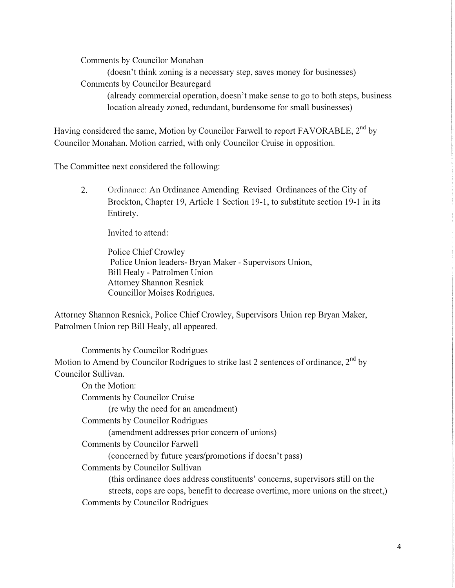Comments by Councilor Monahan

(doesn't think zoning is a necessary step, saves money for businesses) Comments by Councilor Beauregard (already commercial operation, doesn't make sense to go to both steps, business location already zoned, redundant, burdensome for small businesses)

Having considered the same, Motion by Councilor Farwell to report FAVORABLE, 2<sup>nd</sup> by Councilor Monahan. Motion carried, with only Councilor Cruise in opposition.

The Committee next considered the following:

2. Ordinance: An Ordinance Amending Revised Ordinances of the City of Brockton, Chapter 19, Article 1 Section 19-1, to substitute section 19-1 in its Entirety.

Invited to attend:

Police Chief Crowley Police Union leaders- Bryan Maker - Supervisors Union, Bill Healy - Patrolmen Union Attorney Shannon Resnick Councillor Moises Rodrigues.

Attorney Shannon Resnick, Police Chief Crowley, Supervisors Union rep Bryan Maker, Patrolmen Union rep Bill Healy, all appeared.

Comments by Councilor Rodrigues Motion to Amend by Councilor Rodrigues to strike last 2 sentences of ordinance,  $2<sup>nd</sup>$  by Councilor Sullivan.

On the Motion: Comments by Councilor Cruise (re why the need for an amendment) Comments by Councilor Rodrigues ( amendment addresses prior concern of unions) Comments by Councilor Farwell (concerned by future years/promotions if doesn't pass) Comments by Councilor Sullivan (this ordinance does address constituents' concerns, supervisors still on the streets, cops are cops, benefit to decrease overtime, more unions on the street,) Comments by Councilor Rodrigues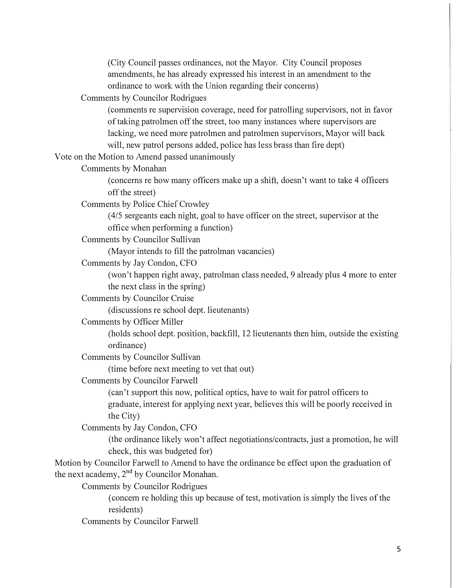(City Council passes ordinances, not the Mayor. City Council proposes amendments, he has already expressed his interest in an amendment to the ordinance to work with the Union regarding their concerns)

Comments by Councilor Rodrigues

( comments re supervision coverage, need for patrolling supervisors, not in favor of taking patrolmen off the street, too many instances where supervisors are lacking, we need more patrolmen and patrolmen supervisors, Mayor will back will, new patrol persons added, police has less brass than fire dept)

Vote on the Motion to Amend passed unanimously

Comments by Monahan

(concerns re how many officers make up a shift, doesn't want to take 4 officers off the street)

Comments by Police Chief Crowley

(4/5 sergeants each night, goal to have officer on the street, supervisor at the office when performing a function)

Comments by Councilor Sullivan

(Mayor intends to fill the patrolman vacancies)

Comments by Jay Condon, CFO

(won't happen right away, patrolman class needed, 9 already plus 4 more to enter the next class in the spring)

Comments by Councilor Cruise

( discussions re school dept. lieutenants)

Comments by Officer Miller

(holds school dept. position, backfill, 12 lieutenants then him, outside the existing ordinance)

Comments by Councilor Sullivan

(time before next meeting to vet that out)

Comments by Councilor Farwell

(can't support this now, political optics, have to wait for patrol officers to graduate, interest for applying next year, believes this will be poorly received in the City)

Comments by Jay Condon, CFO

(the ordinance likely won't affect negotiations/contracts, just a promotion, he will check, this was budgeted for)

Motion by Councilor Farwell to Amend to have the ordinance be effect upon the graduation of the next academy,  $2<sup>nd</sup>$  by Councilor Monahan.

Comments by Councilor Rodrigues

( concern re holding this up because of test, motivation is simply the lives of the residents)

Comments by Councilor Farwell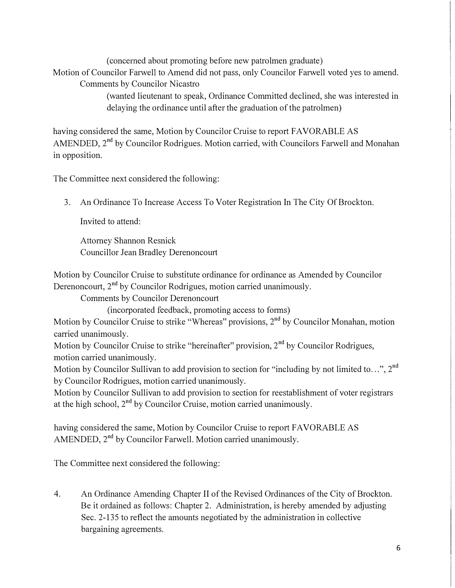( concerned about promoting before new patrolmen graduate)

Motion of Councilor Farwell to Amend did not pass, only Councilor Farwell voted yes to amend. Comments by Councilor Nicastro

> (wanted lieutenant to speak, Ordinance Committed declined, she was interested in delaying the ordinance until after the graduation of the patrolmen)

having considered the same, Motion by Councilor Cruise to report FAVORABLE AS AMENDED, 2<sup>nd</sup> by Councilor Rodrigues. Motion carried, with Councilors Farwell and Monahan in opposition.

The Committee next considered the following:

3. An Ordinance To Increase Access To Voter Registration In The City Of Brockton.

Invited to attend:

Attorney Shannon Resnick Councillor Jean Bradley Derenoncourt

Motion by Councilor Cruise to substitute ordinance for ordinance as Amended by Councilor Derenoncourt,  $2<sup>nd</sup>$  by Councilor Rodrigues, motion carried unanimously.

Comments by Councilor Derenoncourt

(incorporated feedback, promoting access to forms)

Motion by Councilor Cruise to strike "Whereas" provisions, 2<sup>nd</sup> by Councilor Monahan, motion carried unanimously.

Motion by Councilor Cruise to strike "hereinafter" provision,  $2<sup>nd</sup>$  by Councilor Rodrigues, motion carried unanimously.

Motion by Councilor Sullivan to add provision to section for "including by not limited to...", 2<sup>nd</sup> by Councilor Rodrigues, motion carried unanimously.

Motion by Councilor Sullivan to add provision to section for reestablishment of voter registrars at the high school,  $2^{nd}$  by Councilor Cruise, motion carried unanimously.

having considered the same, Motion by Councilor Cruise to report FAVORABLE AS AMENDED, 2<sup>nd</sup> by Councilor Farwell. Motion carried unanimously.

The Committee next considered the following:

4. An Ordinance Amending Chapter II of the Revised Ordinances of the City of Brockton. Be it ordained as follows: Chapter 2. Administration, is hereby amended by adjusting Sec. 2-135 to reflect the amounts negotiated by the administration in collective bargaining agreements.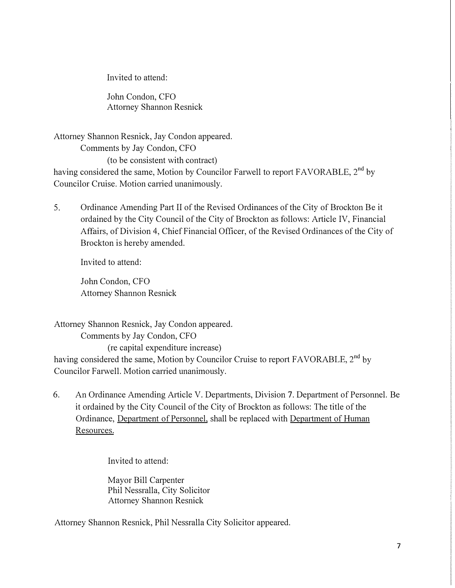Invited to attend:

John Condon, CFO Attorney Shannon Resnick

Attorney Shannon Resnick, Jay Condon appeared. Comments by Jay Condon, CFO (to be consistent with contract) having considered the same, Motion by Councilor Farwell to report FAVORABLE,  $2<sup>nd</sup>$  by Councilor Cruise. Motion carried unanimously.

5. Ordinance Amending Part II of the Revised Ordinances of the City of Brockton Be it ordained by the City Council of the City of Brockton as follows: Article IV, Financial Affairs, of Division 4, Chief Financial Officer, of the Revised Ordinances of the City of Brockton is hereby amended.

Invited to attend:

John Condon, CFO Attorney Shannon Resnick

Attorney Shannon Resnick, Jay Condon appeared. Comments by Jay Condon, CFO (re capital expenditure increase) having considered the same, Motion by Councilor Cruise to report FAVORABLE,  $2^{nd}$  by Councilor Farwell. Motion carried unanimously.

6. An Ordinance Amending Article V. Departments, Division 7. Department of Personnel. Be it ordained by the City Council of the City of Brockton as follows: The title of the Ordinance, Department of Personnel, shall be replaced with Department of Human Resources.

Invited to attend:

Mayor Bill Carpenter Phil Nessralla, City Solicitor Attorney Shannon Resnick

Attorney Shannon Resnick, Phil Nessralla City Solicitor appeared.